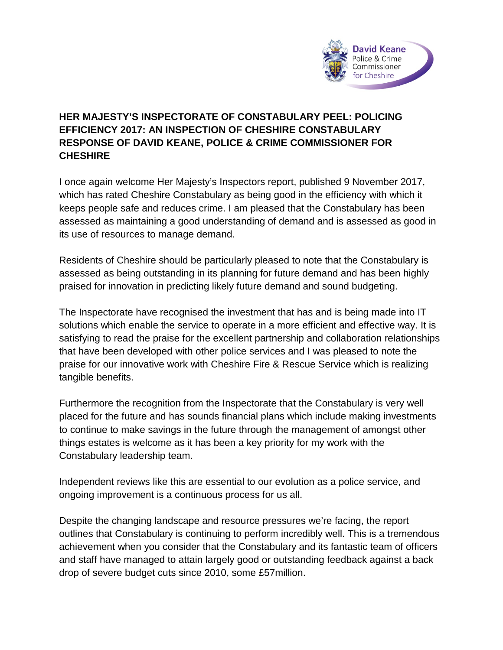

## **HER MAJESTY'S INSPECTORATE OF CONSTABULARY PEEL: POLICING EFFICIENCY 2017: AN INSPECTION OF CHESHIRE CONSTABULARY RESPONSE OF DAVID KEANE, POLICE & CRIME COMMISSIONER FOR CHESHIRE**

I once again welcome Her Majesty's Inspectors report, published 9 November 2017, which has rated Cheshire Constabulary as being good in the efficiency with which it keeps people safe and reduces crime. I am pleased that the Constabulary has been assessed as maintaining a good understanding of demand and is assessed as good in its use of resources to manage demand.

Residents of Cheshire should be particularly pleased to note that the Constabulary is assessed as being outstanding in its planning for future demand and has been highly praised for innovation in predicting likely future demand and sound budgeting.

The Inspectorate have recognised the investment that has and is being made into IT solutions which enable the service to operate in a more efficient and effective way. It is satisfying to read the praise for the excellent partnership and collaboration relationships that have been developed with other police services and I was pleased to note the praise for our innovative work with Cheshire Fire & Rescue Service which is realizing tangible benefits.

Furthermore the recognition from the Inspectorate that the Constabulary is very well placed for the future and has sounds financial plans which include making investments to continue to make savings in the future through the management of amongst other things estates is welcome as it has been a key priority for my work with the Constabulary leadership team.

Independent reviews like this are essential to our evolution as a police service, and ongoing improvement is a continuous process for us all.

Despite the changing landscape and resource pressures we're facing, the report outlines that Constabulary is continuing to perform incredibly well. This is a tremendous achievement when you consider that the Constabulary and its fantastic team of officers and staff have managed to attain largely good or outstanding feedback against a back drop of severe budget cuts since 2010, some £57million.